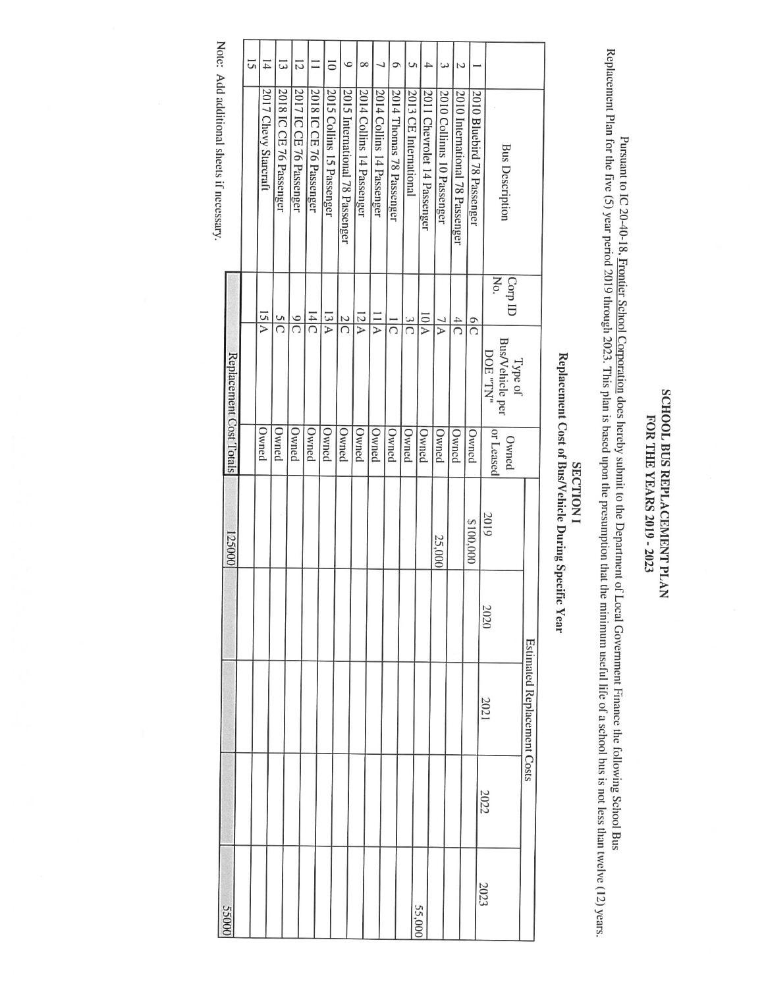## SCHOOL BUS REPLACEMENT PLAN FOR THE<br>T YEARS 2019 - 21)23

Pursuant  $\overline{\mathbf{5}}$  $\overline{\cap}$ 20-40-1g. Frontier School Corporation does hereby submit  $\Xi$ the Department of Local Government Finance the following School Bus Replacement Plan for the flve  $\mathcal{G}$ year period 2019 through 2021 This plan is based upon the presumption that the minimum useful life of a school bus is  $\overline{\mathsf{D}}$ less than twelve (12) years.

## SECTION **SECTION I** Replacement Cost <u>ຊ</u> Bus/Vehicle During Specific

Year

| <b>55000</b> |      |                                    |      |           |                    |                                        |                | Note: Add additional sheets if necessary. |                |
|--------------|------|------------------------------------|------|-----------|--------------------|----------------------------------------|----------------|-------------------------------------------|----------------|
|              |      |                                    |      | 125000    |                    | Replacement Cost Totals                |                |                                           |                |
|              |      |                                    |      |           |                    |                                        |                |                                           | 5              |
|              |      |                                    |      |           | Owned              | 15 A                                   |                | 2017 Chevy Starcraft                      | $\overline{1}$ |
|              |      |                                    |      |           | Owned              | SIC                                    |                | 2018 IC CE 76 Passenger                   | ದ              |
|              |      |                                    |      |           | Owned              | $\frac{6}{ }$                          |                | 2017 IC CE 76 Passenger                   | 12             |
|              |      |                                    |      |           | Owned              | $\frac{14}{C}$                         |                | 2018 IC CE 76 Passenger                   | Ξ              |
|              |      |                                    |      |           | Owned              | 13 A                                   |                | 2015 Collins 15 Passenger                 | $\overline{a}$ |
|              |      |                                    |      |           | Owned              | $\frac{2}{C}$                          |                | 2015 International 78 Passenger           | $\circ$        |
|              |      |                                    |      |           | Owned              | 12A                                    |                | 2014 Collins 14 Passenger                 | $\infty$       |
|              |      |                                    |      |           | Owned              | 1 I A                                  |                | 2014 Collins 14 Passenger                 |                |
|              |      |                                    |      |           | Owned              | $\overline{\Omega}$                    |                | 2014 Thomas 78 Passenger                  | っ              |
|              |      |                                    |      |           | Owned              | $\frac{3}{2}$                          |                | 2013 CE International                     | S              |
| 55,000       |      |                                    |      |           | Owned              | $10\,$ A                               |                | 2011 Chevrolet 14 Passenger               | 4              |
|              |      |                                    |      | 25,000    | Owned              | 7 A                                    |                | 2010 Collinns 10 Passenger                | ε              |
|              |      |                                    |      |           | Owned              | $\frac{4}{C}$                          |                | 2010 International 78 Passenger           | Σ              |
|              |      |                                    |      | \$100,000 | Owned              | $\frac{1}{2}$                          |                | 2010 Bluebird 78 Passenger                |                |
| 2023         | 2022 | 2021                               | 2020 | 2019      | or Leased<br>Owned | Bus/Vehicle per<br>"NT" 300<br>Type of | Corp ID<br>No. | <b>Bus Description</b>                    |                |
|              |      | <b>Estimated Replacement Costs</b> |      |           |                    |                                        |                |                                           |                |
|              |      |                                    |      |           |                    |                                        |                |                                           |                |

Note: Add additional sheets  $\ddot{=}$ necessary.